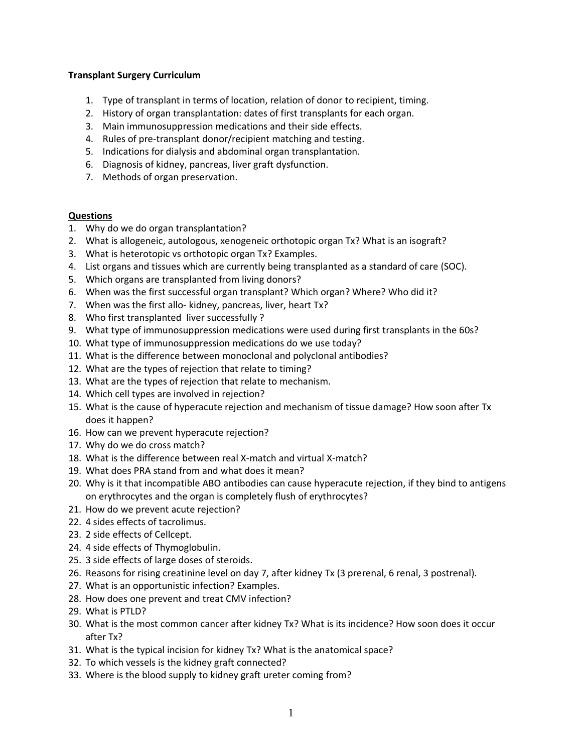#### **Transplant Surgery Curriculum**

- 1. Type of transplant in terms of location, relation of donor to recipient, timing.
- 2. History of organ transplantation: dates of first transplants for each organ.
- 3. Main immunosuppression medications and their side effects.
- 4. Rules of pre-transplant donor/recipient matching and testing.
- 5. Indications for dialysis and abdominal organ transplantation.
- 6. Diagnosis of kidney, pancreas, liver graft dysfunction.
- 7. Methods of organ preservation.

#### **Questions**

- 1. Why do we do organ transplantation?
- 2. What is allogeneic, autologous, xenogeneic orthotopic organ Tx? What is an isograft?
- 3. What is heterotopic vs orthotopic organ Tx? Examples.
- 4. List organs and tissues which are currently being transplanted as a standard of care (SOC).
- 5. Which organs are transplanted from living donors?
- 6. When was the first successful organ transplant? Which organ? Where? Who did it?
- 7. When was the first allo- kidney, pancreas, liver, heart Tx?
- 8. Who first transplanted liver successfully ?
- 9. What type of immunosuppression medications were used during first transplants in the 60s?
- 10. What type of immunosuppression medications do we use today?
- 11. What is the difference between monoclonal and polyclonal antibodies?
- 12. What are the types of rejection that relate to timing?
- 13. What are the types of rejection that relate to mechanism.
- 14. Which cell types are involved in rejection?
- 15. What is the cause of hyperacute rejection and mechanism of tissue damage? How soon after Tx does it happen?
- 16. How can we prevent hyperacute rejection?
- 17. Why do we do cross match?
- 18. What is the difference between real X-match and virtual X-match?
- 19. What does PRA stand from and what does it mean?
- 20. Why is it that incompatible ABO antibodies can cause hyperacute rejection, if they bind to antigens on erythrocytes and the organ is completely flush of erythrocytes?
- 21. How do we prevent acute rejection?
- 22. 4 sides effects of tacrolimus.
- 23. 2 side effects of Cellcept.
- 24. 4 side effects of Thymoglobulin.
- 25. 3 side effects of large doses of steroids.
- 26. Reasons for rising creatinine level on day 7, after kidney Tx (3 prerenal, 6 renal, 3 postrenal).
- 27. What is an opportunistic infection? Examples.
- 28. How does one prevent and treat CMV infection?
- 29. What is PTLD?
- 30. What is the most common cancer after kidney Tx? What is its incidence? How soon does it occur after Tx?
- 31. What is the typical incision for kidney Tx? What is the anatomical space?
- 32. To which vessels is the kidney graft connected?
- 33. Where is the blood supply to kidney graft ureter coming from?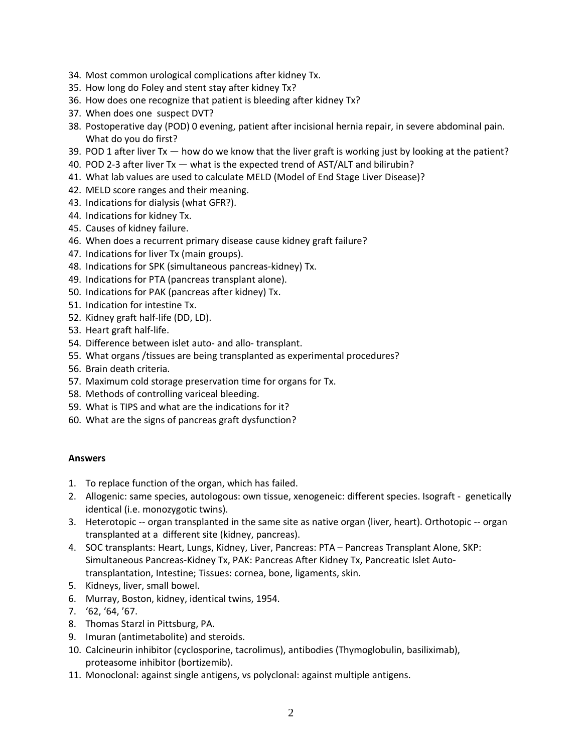- 34. Most common urological complications after kidney Tx.
- 35. How long do Foley and stent stay after kidney Tx?
- 36. How does one recognize that patient is bleeding after kidney Tx?
- 37. When does one suspect DVT?
- 38. Postoperative day (POD) 0 evening, patient after incisional hernia repair, in severe abdominal pain. What do you do first?
- 39. POD 1 after liver  $Tx how$  do we know that the liver graft is working just by looking at the patient?
- 40. POD 2-3 after liver Tx what is the expected trend of AST/ALT and bilirubin?
- 41. What lab values are used to calculate MELD (Model of End Stage Liver Disease)?
- 42. MELD score ranges and their meaning.
- 43. Indications for dialysis (what GFR?).
- 44. Indications for kidney Tx.
- 45. Causes of kidney failure.
- 46. When does a recurrent primary disease cause kidney graft failure?
- 47. Indications for liver Tx (main groups).
- 48. Indications for SPK (simultaneous pancreas-kidney) Tx.
- 49. Indications for PTA (pancreas transplant alone).
- 50. Indications for PAK (pancreas after kidney) Tx.
- 51. Indication for intestine Tx.
- 52. Kidney graft half-life (DD, LD).
- 53. Heart graft half-life.
- 54. Difference between islet auto- and allo- transplant.
- 55. What organs /tissues are being transplanted as experimental procedures?
- 56. Brain death criteria.
- 57. Maximum cold storage preservation time for organs for Tx.
- 58. Methods of controlling variceal bleeding.
- 59. What is TIPS and what are the indications for it?
- 60. What are the signs of pancreas graft dysfunction?

#### **Answers**

- 1. To replace function of the organ, which has failed.
- 2. Allogenic: same species, autologous: own tissue, xenogeneic: different species. Isograft genetically identical (i.e. monozygotic twins).
- 3. Heterotopic -- organ transplanted in the same site as native organ (liver, heart). Orthotopic -- organ transplanted at a different site (kidney, pancreas).
- 4. SOC transplants: Heart, Lungs, Kidney, Liver, Pancreas: PTA Pancreas Transplant Alone, SKP: Simultaneous Pancreas-Kidney Tx, PAK: Pancreas After Kidney Tx, Pancreatic Islet Autotransplantation, Intestine; Tissues: cornea, bone, ligaments, skin.
- 5. Kidneys, liver, small bowel.
- 6. Murray, Boston, kidney, identical twins, 1954.
- 7. '62, '64, '67.
- 8. Thomas Starzl in Pittsburg, PA.
- 9. Imuran (antimetabolite) and steroids.
- 10. Calcineurin inhibitor (cyclosporine, tacrolimus), antibodies (Thymoglobulin, basiliximab), proteasome inhibitor (bortizemib).
- 11. Monoclonal: against single antigens, vs polyclonal: against multiple antigens.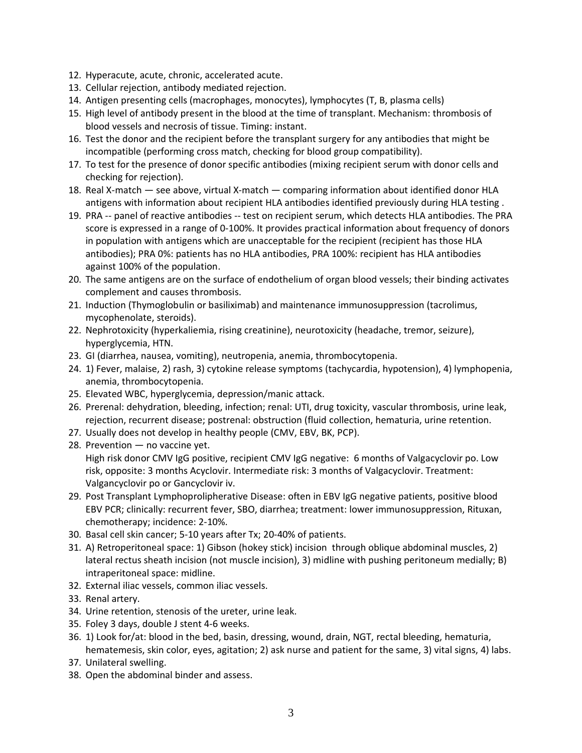- 12. Hyperacute, acute, chronic, accelerated acute.
- 13. Cellular rejection, antibody mediated rejection.
- 14. Antigen presenting cells (macrophages, monocytes), lymphocytes (T, B, plasma cells)
- 15. High level of antibody present in the blood at the time of transplant. Mechanism: thrombosis of blood vessels and necrosis of tissue. Timing: instant.
- 16. Test the donor and the recipient before the transplant surgery for any antibodies that might be incompatible (performing cross match, checking for blood group compatibility).
- 17. To test for the presence of donor specific antibodies (mixing recipient serum with donor cells and checking for rejection).
- 18. Real X-match see above, virtual X-match comparing information about identified donor HLA antigens with information about recipient HLA antibodies identified previously during HLA testing .
- 19. PRA -- panel of reactive antibodies -- test on recipient serum, which detects HLA antibodies. The PRA score is expressed in a range of 0-100%. It provides practical information about frequency of donors in population with antigens which are unacceptable for the recipient (recipient has those HLA antibodies); PRA 0%: patients has no HLA antibodies, PRA 100%: recipient has HLA antibodies against 100% of the population.
- 20. The same antigens are on the surface of endothelium of organ blood vessels; their binding activates complement and causes thrombosis.
- 21. Induction (Thymoglobulin or basiliximab) and maintenance immunosuppression (tacrolimus, mycophenolate, steroids).
- 22. Nephrotoxicity (hyperkaliemia, rising creatinine), neurotoxicity (headache, tremor, seizure), hyperglycemia, HTN.
- 23. GI (diarrhea, nausea, vomiting), neutropenia, anemia, thrombocytopenia.
- 24. 1) Fever, malaise, 2) rash, 3) cytokine release symptoms (tachycardia, hypotension), 4) lymphopenia, anemia, thrombocytopenia.
- 25. Elevated WBC, hyperglycemia, depression/manic attack.
- 26. Prerenal: dehydration, bleeding, infection; renal: UTI, drug toxicity, vascular thrombosis, urine leak, rejection, recurrent disease; postrenal: obstruction (fluid collection, hematuria, urine retention.
- 27. Usually does not develop in healthy people (CMV, EBV, BK, PCP).
- 28. Prevention no vaccine yet. High risk donor CMV IgG positive, recipient CMV IgG negative: 6 months of Valgacyclovir po. Low risk, opposite: 3 months Acyclovir. Intermediate risk: 3 months of Valgacyclovir. Treatment: Valgancyclovir po or Gancyclovir iv.
- 29. Post Transplant Lymphoprolipherative Disease: often in EBV IgG negative patients, positive blood EBV PCR; clinically: recurrent fever, SBO, diarrhea; treatment: lower immunosuppression, Rituxan, chemotherapy; incidence: 2-10%.
- 30. Basal cell skin cancer; 5-10 years after Tx; 20-40% of patients.
- 31. A) Retroperitoneal space: 1) Gibson (hokey stick) incision through oblique abdominal muscles, 2) lateral rectus sheath incision (not muscle incision), 3) midline with pushing peritoneum medially; B) intraperitoneal space: midline.
- 32. External iliac vessels, common iliac vessels.
- 33. Renal artery.
- 34. Urine retention, stenosis of the ureter, urine leak.
- 35. Foley 3 days, double J stent 4-6 weeks.
- 36. 1) Look for/at: blood in the bed, basin, dressing, wound, drain, NGT, rectal bleeding, hematuria, hematemesis, skin color, eyes, agitation; 2) ask nurse and patient for the same, 3) vital signs, 4) labs.
- 37. Unilateral swelling.
- 38. Open the abdominal binder and assess.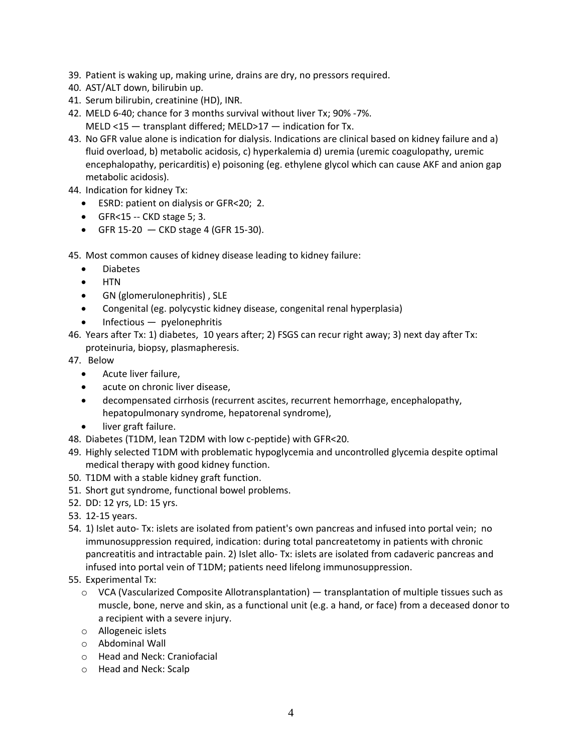- 39. Patient is waking up, making urine, drains are dry, no pressors required.
- 40. AST/ALT down, bilirubin up.
- 41. Serum bilirubin, creatinine (HD), INR.
- 42. MELD 6-40; chance for 3 months survival without liver Tx; 90% -7%. MELD <15 — transplant differed; MELD>17 — indication for Tx.
- 43. No GFR value alone is indication for dialysis. Indications are clinical based on kidney failure and a) fluid overload, b) metabolic acidosis, c) hyperkalemia d) uremia (uremic coagulopathy, uremic encephalopathy, pericarditis) e) poisoning (eg. ethylene glycol which can cause AKF and anion gap metabolic acidosis).

44. Indication for kidney Tx:

- ESRD: patient on dialysis or GFR<20; 2.
- GFR<15 -- CKD stage 5; 3.
- GFR 15-20  $-$  CKD stage 4 (GFR 15-30).

45. Most common causes of kidney disease leading to kidney failure:

- Diabetes
- HTN
- GN (glomerulonephritis) , SLE
- Congenital (eg. polycystic kidney disease, congenital renal hyperplasia)
- $Infections$  pyelonephritis
- 46. Years after Tx: 1) diabetes, 10 years after; 2) FSGS can recur right away; 3) next day after Tx: proteinuria, biopsy, plasmapheresis.
- 47. Below
	- Acute liver failure,
	- acute on chronic liver disease,
	- decompensated cirrhosis (recurrent ascites, recurrent hemorrhage, encephalopathy, hepatopulmonary syndrome, hepatorenal syndrome),
	- liver graft failure.
- 48. Diabetes (T1DM, lean T2DM with low c-peptide) with GFR<20.
- 49. Highly selected T1DM with problematic hypoglycemia and uncontrolled glycemia despite optimal medical therapy with good kidney function.
- 50. T1DM with a stable kidney graft function.
- 51. Short gut syndrome, functional bowel problems.
- 52. DD: 12 yrs, LD: 15 yrs.
- 53. 12-15 years.
- 54. 1) Islet auto- Tx: islets are isolated from patient's own pancreas and infused into portal vein; no immunosuppression required, indication: during total pancreatetomy in patients with chronic pancreatitis and intractable pain. 2) Islet allo- Tx: islets are isolated from cadaveric pancreas and infused into portal vein of T1DM; patients need lifelong immunosuppression.
- 55. Experimental Tx:
	- $\circ$  VCA (Vascularized Composite Allotransplantation) transplantation of multiple tissues such as muscle, bone, nerve and skin, as a functional unit (e.g. a hand, or face) from a deceased donor to a recipient with a severe injury.
	- o Allogeneic islets
	- o Abdominal Wall
	- o Head and Neck: Craniofacial
	- o Head and Neck: Scalp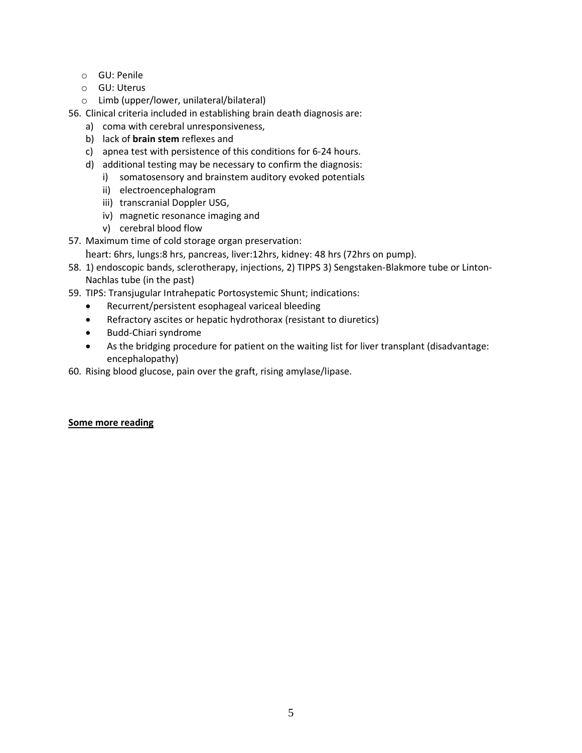- o GU: Penile
- o GU: Uterus
- o Limb (upper/lower, unilateral/bilateral)

56. Clinical criteria included in establishing brain death diagnosis are:

- a) coma with cerebral unresponsiveness,
- b) lack of **brain stem** reflexes and
- c) apnea test with persistence of this conditions for 6-24 hours.
- d) additional testing may be necessary to confirm the diagnosis:
	- i) somatosensory and brainstem auditory evoked potentials
	- ii) electroencephalogram
	- iii) transcranial Doppler USG,
	- iv) magnetic resonance imaging and
	- v) cerebral blood flow
- 57. Maximum time of cold storage organ preservation:
	- heart: 6hrs, lungs:8 hrs, pancreas, liver:12hrs, kidney: 48 hrs (72hrs on pump).
- 58. 1) endoscopic bands, sclerotherapy, injections, 2) TIPPS 3) Sengstaken-Blakmore tube or Linton-Nachlas tube (in the past)
- 59. TIPS: Transjugular Intrahepatic Portosystemic Shunt; indications:
	- Recurrent/persistent esophageal variceal bleeding
	- Refractory ascites or hepatic hydrothorax (resistant to diuretics)
	- Budd-Chiari syndrome
	- As the bridging procedure for patient on the waiting list for liver transplant (disadvantage: encephalopathy)
- 60. Rising blood glucose, pain over the graft, rising amylase/lipase.

# **Some more reading**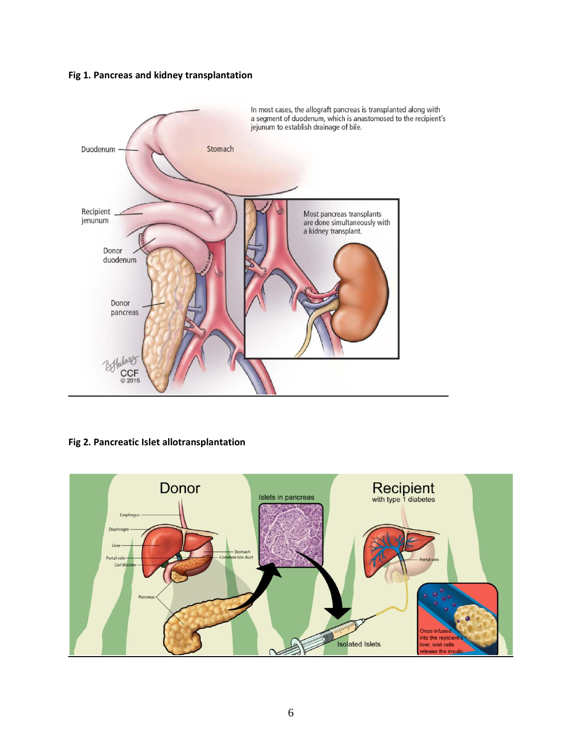# **Fig 1. Pancreas and kidney transplantation**



# **Fig 2. Pancreatic Islet allotransplantation**

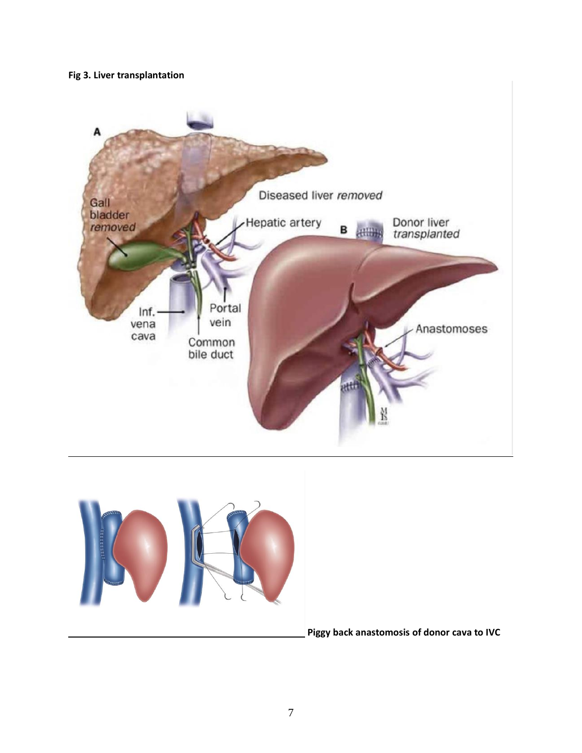# **Fig 3. Liver transplantation**





**Piggy back anastomosis of donor cava to IVC**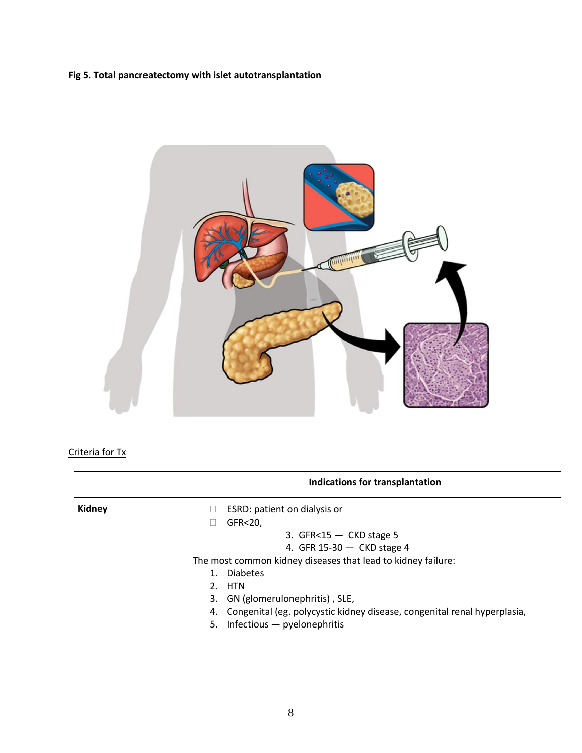# **Fig 5. Total pancreatectomy with islet autotransplantation**



# Criteria for Tx

|               | Indications for transplantation                                                                                                                                                                                                                                                                                                                                  |
|---------------|------------------------------------------------------------------------------------------------------------------------------------------------------------------------------------------------------------------------------------------------------------------------------------------------------------------------------------------------------------------|
| <b>Kidney</b> | ESRD: patient on dialysis or<br>GFR<20,<br>3. GFR $<$ 15 $-$ CKD stage 5<br>4. GFR 15-30 $-$ CKD stage 4<br>The most common kidney diseases that lead to kidney failure:<br><b>Diabetes</b><br>1.<br>2. HTN<br>3. GN (glomerulonephritis), SLE,<br>4. Congenital (eg. polycystic kidney disease, congenital renal hyperplasia,<br>5. Infectious - pyelonephritis |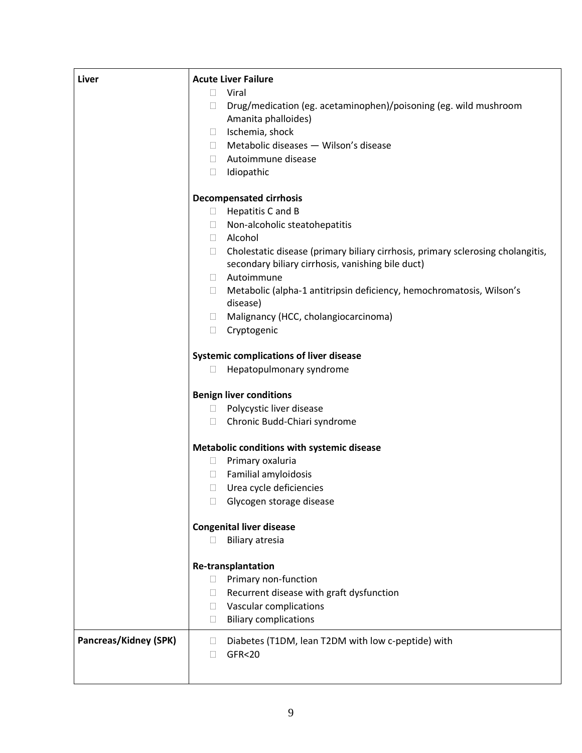| Liver                        | <b>Acute Liver Failure</b>                                                                |  |  |  |
|------------------------------|-------------------------------------------------------------------------------------------|--|--|--|
|                              | Viral<br>$\Box$                                                                           |  |  |  |
|                              | Drug/medication (eg. acetaminophen)/poisoning (eg. wild mushroom<br>$\Box$                |  |  |  |
|                              | Amanita phalloides)                                                                       |  |  |  |
|                              | Ischemia, shock<br>$\Box$                                                                 |  |  |  |
|                              | Metabolic diseases - Wilson's disease<br>$\Box$                                           |  |  |  |
|                              | Autoimmune disease<br>$\Box$                                                              |  |  |  |
|                              | Idiopathic<br>$\Box$                                                                      |  |  |  |
|                              |                                                                                           |  |  |  |
|                              | <b>Decompensated cirrhosis</b>                                                            |  |  |  |
|                              | Hepatitis C and B<br>$\Box$                                                               |  |  |  |
|                              | Non-alcoholic steatohepatitis<br>$\Box$                                                   |  |  |  |
|                              | Alcohol<br>$\Box$                                                                         |  |  |  |
|                              | Cholestatic disease (primary biliary cirrhosis, primary sclerosing cholangitis,<br>$\Box$ |  |  |  |
|                              | secondary biliary cirrhosis, vanishing bile duct)                                         |  |  |  |
|                              | Autoimmune<br>$\mathbb{R}^n$                                                              |  |  |  |
|                              | Metabolic (alpha-1 antitripsin deficiency, hemochromatosis, Wilson's<br>$\Box$            |  |  |  |
|                              | disease)                                                                                  |  |  |  |
|                              | Malignancy (HCC, cholangiocarcinoma)<br>$\Box$                                            |  |  |  |
|                              | Cryptogenic<br>$\Box$                                                                     |  |  |  |
|                              |                                                                                           |  |  |  |
|                              | <b>Systemic complications of liver disease</b>                                            |  |  |  |
|                              | Hepatopulmonary syndrome                                                                  |  |  |  |
|                              | <b>Benign liver conditions</b>                                                            |  |  |  |
|                              | Polycystic liver disease<br>$\Box$                                                        |  |  |  |
|                              | Chronic Budd-Chiari syndrome<br>$\Box$                                                    |  |  |  |
|                              | Metabolic conditions with systemic disease                                                |  |  |  |
|                              | Primary oxaluria<br>$\Box$                                                                |  |  |  |
|                              | Familial amyloidosis                                                                      |  |  |  |
|                              | Urea cycle deficiencies<br>$\Box$                                                         |  |  |  |
|                              | Glycogen storage disease                                                                  |  |  |  |
|                              |                                                                                           |  |  |  |
|                              | <b>Congenital liver disease</b>                                                           |  |  |  |
|                              | <b>Biliary atresia</b>                                                                    |  |  |  |
|                              | <b>Re-transplantation</b>                                                                 |  |  |  |
|                              | Primary non-function<br>$\Box$                                                            |  |  |  |
|                              | Recurrent disease with graft dysfunction<br>$\Box$                                        |  |  |  |
|                              | Vascular complications<br>$\mathbf{L}$                                                    |  |  |  |
|                              | <b>Biliary complications</b><br>$\Box$                                                    |  |  |  |
|                              |                                                                                           |  |  |  |
| <b>Pancreas/Kidney (SPK)</b> | Diabetes (T1DM, lean T2DM with low c-peptide) with<br>$\mathbf{L}$                        |  |  |  |
|                              | <b>GFR&lt;20</b>                                                                          |  |  |  |
|                              |                                                                                           |  |  |  |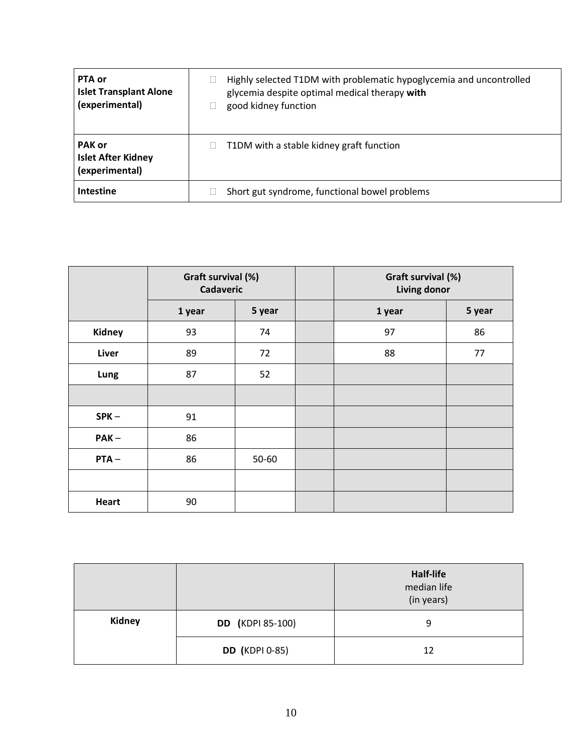| PTA or<br><b>Islet Transplant Alone</b><br>(experimental)    | Highly selected T1DM with problematic hypoglycemia and uncontrolled<br>glycemia despite optimal medical therapy with<br>good kidney function |
|--------------------------------------------------------------|----------------------------------------------------------------------------------------------------------------------------------------------|
| <b>PAK or</b><br><b>Islet After Kidney</b><br>(experimental) | T1DM with a stable kidney graft function                                                                                                     |
| <b>Intestine</b>                                             | Short gut syndrome, functional bowel problems                                                                                                |

|              | Graft survival (%)<br><b>Cadaveric</b> |           | Graft survival (%)<br>Living donor |        |
|--------------|----------------------------------------|-----------|------------------------------------|--------|
|              | 1 year                                 | 5 year    | 1 year                             | 5 year |
| Kidney       | 93                                     | 74        | 97                                 | 86     |
| Liver        | 89                                     | 72        | 88                                 | 77     |
| Lung         | 87                                     | 52        |                                    |        |
|              |                                        |           |                                    |        |
| $SPK -$      | 91                                     |           |                                    |        |
| $PAK -$      | 86                                     |           |                                    |        |
| $PTA -$      | 86                                     | $50 - 60$ |                                    |        |
|              |                                        |           |                                    |        |
| <b>Heart</b> | 90                                     |           |                                    |        |

|               |                         | Half-life<br>median life<br>(in years) |
|---------------|-------------------------|----------------------------------------|
| <b>Kidney</b> | <b>DD</b> (KDPI 85-100) | 9                                      |
|               | <b>DD</b> (KDPI 0-85)   | 12                                     |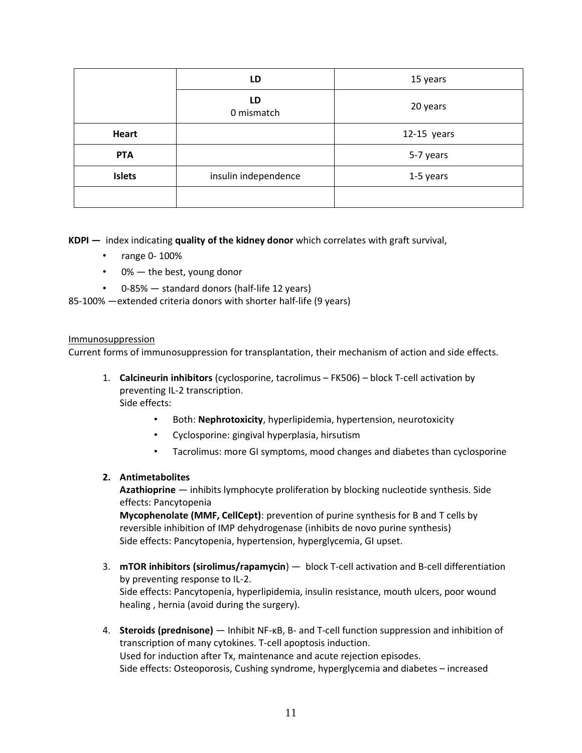|               | LD                   | 15 years      |
|---------------|----------------------|---------------|
|               | LD<br>0 mismatch     | 20 years      |
| <b>Heart</b>  |                      | $12-15$ years |
| <b>PTA</b>    |                      | 5-7 years     |
| <b>Islets</b> | insulin independence | 1-5 years     |
|               |                      |               |

**KDPI —** index indicating **quality of the kidney donor** which correlates with graft survival,

- range 0- 100%
- 0% the best, young donor
- 0-85% standard donors (half-life 12 years)

85-100% —extended criteria donors with shorter half-life (9 years)

#### Immunosuppression

Current forms of immunosuppression for transplantation, their mechanism of action and side effects.

- 1. **Calcineurin inhibitors** (cyclosporine, tacrolimus FK506) block T-cell activation by preventing IL-2 transcription. Side effects:
	- Both: **Nephrotoxicity**, hyperlipidemia, hypertension, neurotoxicity
	- Cyclosporine: gingival hyperplasia, hirsutism
	- Tacrolimus: more GI symptoms, mood changes and diabetes than cyclosporine

#### **2. Antimetabolites**

**Azathioprine** — inhibits lymphocyte proliferation by blocking nucleotide synthesis. Side effects: Pancytopenia

**Mycophenolate (MMF, CellCept)**: prevention of purine synthesis for B and T cells by reversible inhibition of IMP dehydrogenase (inhibits de novo purine synthesis) Side effects: Pancytopenia, hypertension, hyperglycemia, GI upset.

- 3. **mTOR inhibitors (sirolimus/rapamycin**) block T-cell activation and B-cell differentiation by preventing response to IL-2. Side effects: Pancytopenia, hyperlipidemia, insulin resistance, mouth ulcers, poor wound healing , hernia (avoid during the surgery).
- 4. **Steroids (prednisone)** Inhibit NF-κB, B- and T-cell function suppression and inhibition of transcription of many cytokines. T-cell apoptosis induction. Used for induction after Tx, maintenance and acute rejection episodes. Side effects: Osteoporosis, Cushing syndrome, hyperglycemia and diabetes – increased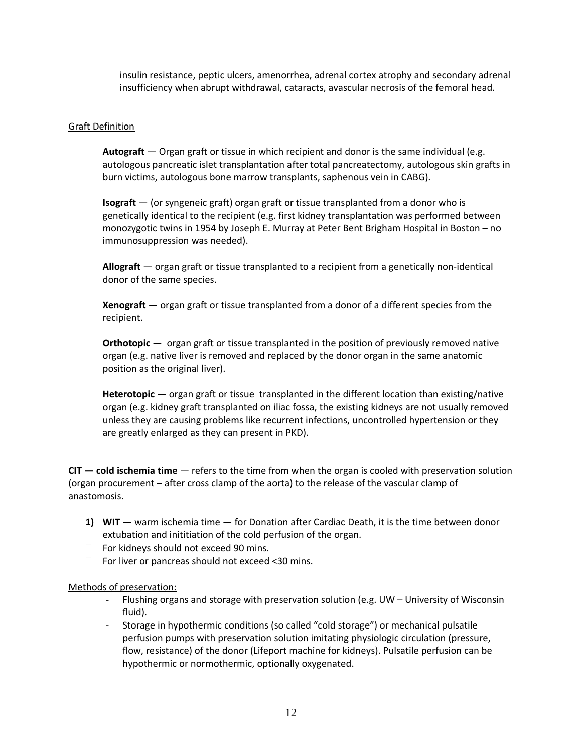insulin resistance, peptic ulcers, amenorrhea, adrenal cortex atrophy and secondary adrenal insufficiency when abrupt withdrawal, cataracts, avascular necrosis of the femoral head.

#### Graft Definition

**Autograft** — Organ graft or tissue in which recipient and donor is the same individual (e.g. autologous pancreatic islet transplantation after total pancreatectomy, autologous skin grafts in burn victims, autologous bone marrow transplants, saphenous vein in CABG).

**Isograft** — (or syngeneic graft) organ graft or tissue transplanted from a donor who is genetically identical to the recipient (e.g. first kidney transplantation was performed between monozygotic twins in 1954 by Joseph E. Murray at Peter Bent Brigham Hospital in Boston – no immunosuppression was needed).

**Allograft** — organ graft or tissue transplanted to a recipient from a genetically non-identical donor of the same species.

**Xenograft** — organ graft or tissue transplanted from a donor of a different species from the recipient.

**Orthotopic** — organ graft or tissue transplanted in the position of previously removed native organ (e.g. native liver is removed and replaced by the donor organ in the same anatomic position as the original liver).

**Heterotopic** — organ graft or tissue transplanted in the different location than existing/native organ (e.g. kidney graft transplanted on iliac fossa, the existing kidneys are not usually removed unless they are causing problems like recurrent infections, uncontrolled hypertension or they are greatly enlarged as they can present in PKD).

**CIT — cold ischemia time** — refers to the time from when the organ is cooled with preservation solution (organ procurement – after cross clamp of the aorta) to the release of the vascular clamp of anastomosis.

- **1) WIT —** warm ischemia time for Donation after Cardiac Death, it is the time between donor extubation and inititiation of the cold perfusion of the organ.
- □ For kidneys should not exceed 90 mins.
- $\Box$  For liver or pancreas should not exceed <30 mins.

#### Methods of preservation:

- Flushing organs and storage with preservation solution (e.g. UW University of Wisconsin fluid).
- Storage in hypothermic conditions (so called "cold storage") or mechanical pulsatile perfusion pumps with preservation solution imitating physiologic circulation (pressure, flow, resistance) of the donor (Lifeport machine for kidneys). Pulsatile perfusion can be hypothermic or normothermic, optionally oxygenated.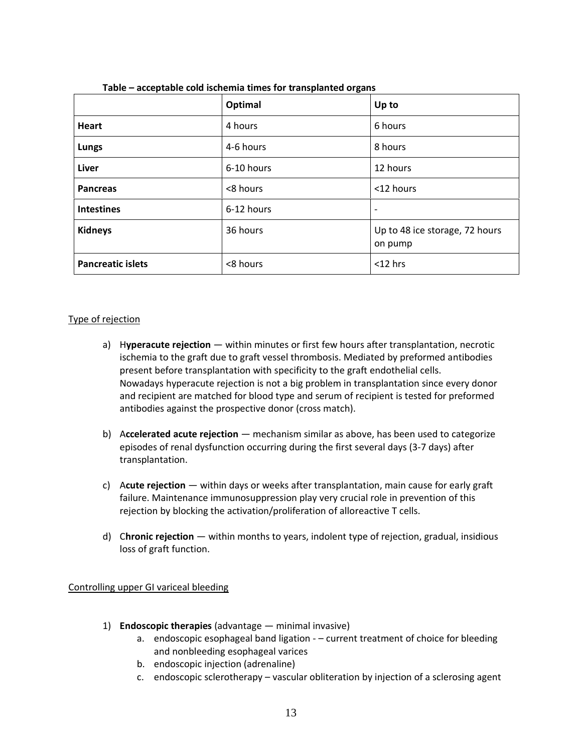|                          | Optimal    | Up to                                     |
|--------------------------|------------|-------------------------------------------|
| <b>Heart</b>             | 4 hours    | 6 hours                                   |
| <b>Lungs</b>             | 4-6 hours  | 8 hours                                   |
| <b>Liver</b>             | 6-10 hours | 12 hours                                  |
| <b>Pancreas</b>          | <8 hours   | <12 hours                                 |
| <b>Intestines</b>        | 6-12 hours | $\overline{\phantom{a}}$                  |
| <b>Kidneys</b>           | 36 hours   | Up to 48 ice storage, 72 hours<br>on pump |
| <b>Pancreatic islets</b> | <8 hours   | $<$ 12 hrs                                |

| Table - acceptable cold ischemia times for transplanted organs |  |
|----------------------------------------------------------------|--|
|----------------------------------------------------------------|--|

## Type of rejection

- a) H**yperacute rejection** within minutes or first few hours after transplantation, necrotic ischemia to the graft due to graft vessel thrombosis. Mediated by preformed antibodies present before transplantation with specificity to the graft endothelial cells. Nowadays hyperacute rejection is not a big problem in transplantation since every donor and recipient are matched for blood type and serum of recipient is tested for preformed antibodies against the prospective donor (cross match).
- b) A**ccelerated acute rejection** mechanism similar as above, has been used to categorize episodes of renal dysfunction occurring during the first several days (3-7 days) after transplantation.
- c) A**cute rejection** within days or weeks after transplantation, main cause for early graft failure. Maintenance immunosuppression play very crucial role in prevention of this rejection by blocking the activation/proliferation of alloreactive T cells.
- d) C**hronic rejection** within months to years, indolent type of rejection, gradual, insidious loss of graft function.

#### Controlling upper GI variceal bleeding

- 1) **Endoscopic therapies** (advantage minimal invasive)
	- a. endoscopic esophageal band ligation – current treatment of choice for bleeding and nonbleeding esophageal varices
	- b. endoscopic injection (adrenaline)
	- c. endoscopic sclerotherapy vascular obliteration by injection of a sclerosing agent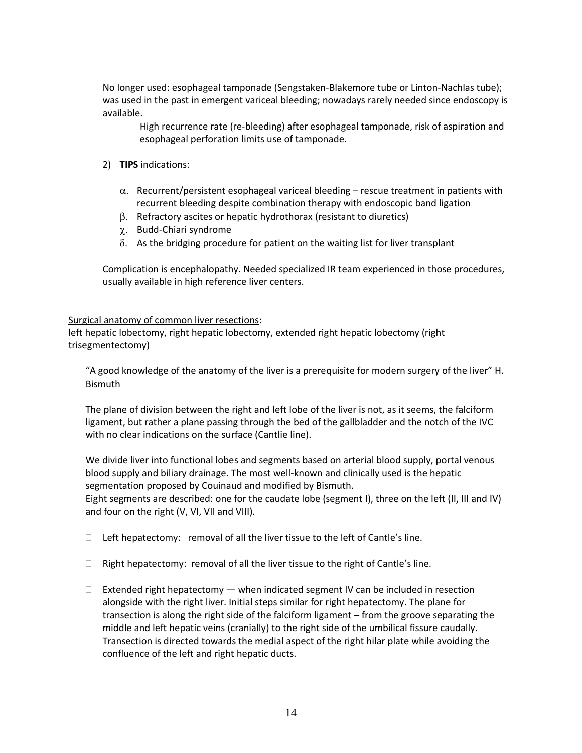No longer used: esophageal tamponade (Sengstaken-Blakemore tube or Linton-Nachlas tube); was used in the past in emergent variceal bleeding; nowadays rarely needed since endoscopy is available.

High recurrence rate (re-bleeding) after esophageal tamponade, risk of aspiration and esophageal perforation limits use of tamponade.

- 2) **TIPS** indications:
	- $\alpha$ . Recurrent/persistent esophageal variceal bleeding rescue treatment in patients with recurrent bleeding despite combination therapy with endoscopic band ligation
	- $\beta$ . Refractory ascites or hepatic hydrothorax (resistant to diuretics)
	- Budd-Chiari syndrome
	- $\delta$ . As the bridging procedure for patient on the waiting list for liver transplant

Complication is encephalopathy. Needed specialized IR team experienced in those procedures, usually available in high reference liver centers.

#### Surgical anatomy of common liver resections:

left hepatic lobectomy, right hepatic lobectomy, extended right hepatic lobectomy (right trisegmentectomy)

"A good knowledge of the anatomy of the liver is a prerequisite for modern surgery of the liver" H. Bismuth

The plane of division between the right and left lobe of the liver is not, as it seems, the falciform ligament, but rather a plane passing through the bed of the gallbladder and the notch of the IVC with no clear indications on the surface (Cantlie line).

We divide liver into functional lobes and segments based on arterial blood supply, portal venous blood supply and biliary drainage. The most well-known and clinically used is the hepatic segmentation proposed by Couinaud and modified by Bismuth.

Eight segments are described: one for the caudate lobe (segment I), three on the left (II, III and IV) and four on the right (V, VI, VII and VIII).

- $\Box$  Left hepatectomy: removal of all the liver tissue to the left of Cantle's line.
- $\Box$  Right hepatectomy: removal of all the liver tissue to the right of Cantle's line.
- $\Box$  Extended right hepatectomy  $-$  when indicated segment IV can be included in resection alongside with the right liver. Initial steps similar for right hepatectomy. The plane for transection is along the right side of the falciform ligament – from the groove separating the middle and left hepatic veins (cranially) to the right side of the umbilical fissure caudally. Transection is directed towards the medial aspect of the right hilar plate while avoiding the confluence of the left and right hepatic ducts.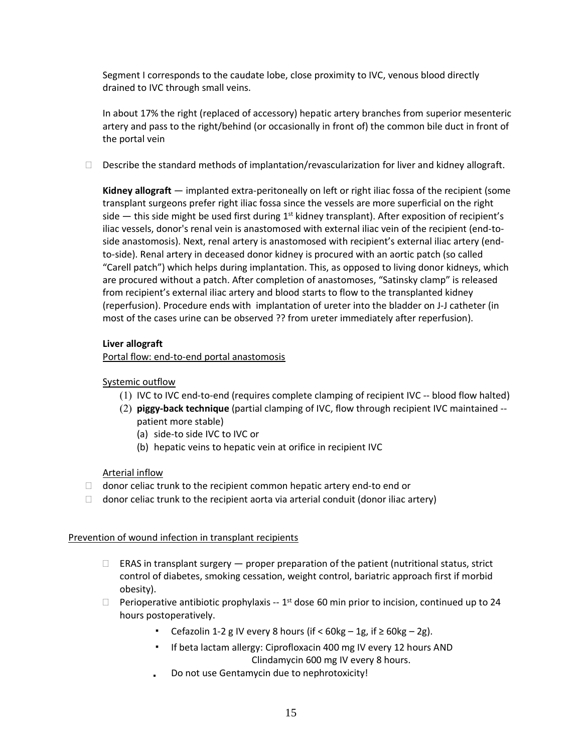Segment I corresponds to the caudate lobe, close proximity to IVC, venous blood directly drained to IVC through small veins.

In about 17% the right (replaced of accessory) hepatic artery branches from superior mesenteric artery and pass to the right/behind (or occasionally in front of) the common bile duct in front of the portal vein

 $\Box$  Describe the standard methods of implantation/revascularization for liver and kidney allograft.

**Kidney allograft** — implanted extra-peritoneally on left or right iliac fossa of the recipient (some transplant surgeons prefer right iliac fossa since the vessels are more superficial on the right side — this side might be used first during 1<sup>st</sup> kidney transplant). After exposition of recipient's iliac vessels, donor's renal vein is anastomosed with external iliac vein of the recipient (end-toside anastomosis). Next, renal artery is anastomosed with recipient's external iliac artery (endto-side). Renal artery in deceased donor kidney is procured with an aortic patch (so called "Carell patch") which helps during implantation. This, as opposed to living donor kidneys, which are procured without a patch. After completion of anastomoses, "Satinsky clamp" is released from recipient's external iliac artery and blood starts to flow to the transplanted kidney (reperfusion). Procedure ends with implantation of ureter into the bladder on J-J catheter (in most of the cases urine can be observed ?? from ureter immediately after reperfusion).

#### **Liver allograft**

Portal flow: end-to-end portal anastomosis

## Systemic outflow

- () IVC to IVC end-to-end (requires complete clamping of recipient IVC -- blood flow halted)
- () **piggy-back technique** (partial clamping of IVC, flow through recipient IVC maintained patient more stable)
	- (a) side-to side IVC to IVC or
	- (b) hepatic veins to hepatic vein at orifice in recipient IVC

#### Arterial inflow

- $\Box$  donor celiac trunk to the recipient common hepatic artery end-to end or
- $\Box$  donor celiac trunk to the recipient aorta via arterial conduit (donor iliac artery)

#### Prevention of wound infection in transplant recipients

- $\Box$  ERAS in transplant surgery  $-$  proper preparation of the patient (nutritional status, strict control of diabetes, smoking cessation, weight control, bariatric approach first if morbid obesity).
- $\Box$  Perioperative antibiotic prophylaxis -- 1<sup>st</sup> dose 60 min prior to incision, continued up to 24 hours postoperatively.
	- Cefazolin 1-2 g IV every 8 hours (if <  $60kg 1g$ , if  $\geq 60kg 2g$ ).
	- If beta lactam allergy: Ciprofloxacin 400 mg IV every 12 hours AND Clindamycin 600 mg IV every 8 hours.
	- Do not use Gentamycin due to nephrotoxicity! $\mathbf{r}$